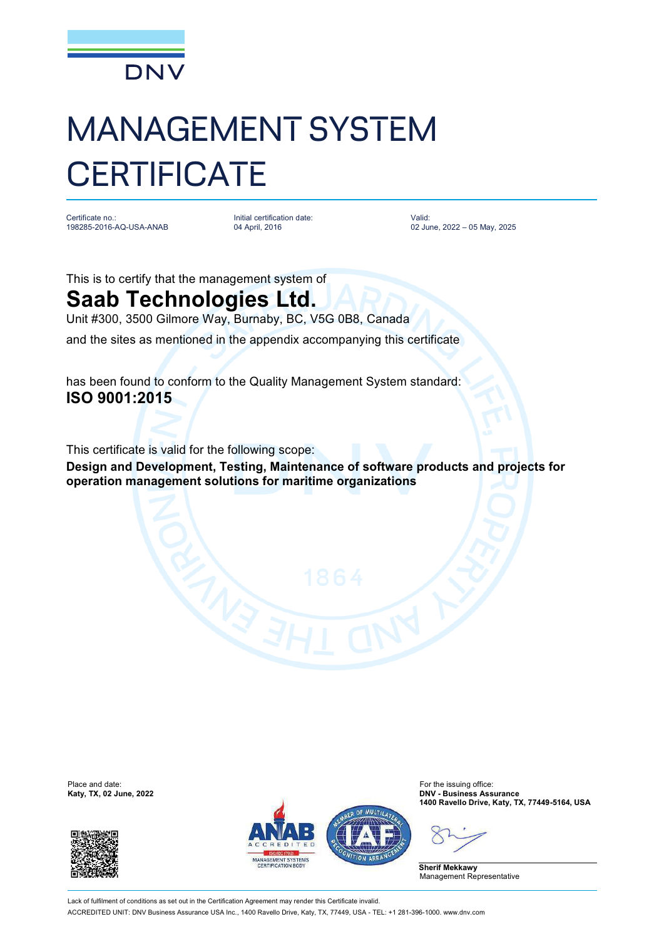

## MANAGEMENT SYSTEM **CERTIFICATE**

Certificate no.: 198285-2016-AQ-USA-ANAB

Initial certification date: 04 April, 2016

Valid: 02 June, 2022 – 05 May, 2025

This is to certify that the management system of

## **Saab Technologies Ltd.**

Unit #300, 3500 Gilmore Way, Burnaby, BC, V5G 0B8, Canada and the sites as mentioned in the appendix accompanying this certificate

has been found to conform to the Quality Management System standard: **ISO 9001:2015**

This certificate is valid for the following scope:

**Design and Development, Testing, Maintenance of software products and projects for operation management solutions for maritime organizations**

Place and date:<br>Katy, TX, 02 June, 2022





For the issuing office:<br>**DNV - Business Assurance 1400 Ravello Drive, Katy, TX, 77449-5164, USA**

**Sherif Mekkawy** Management Representative